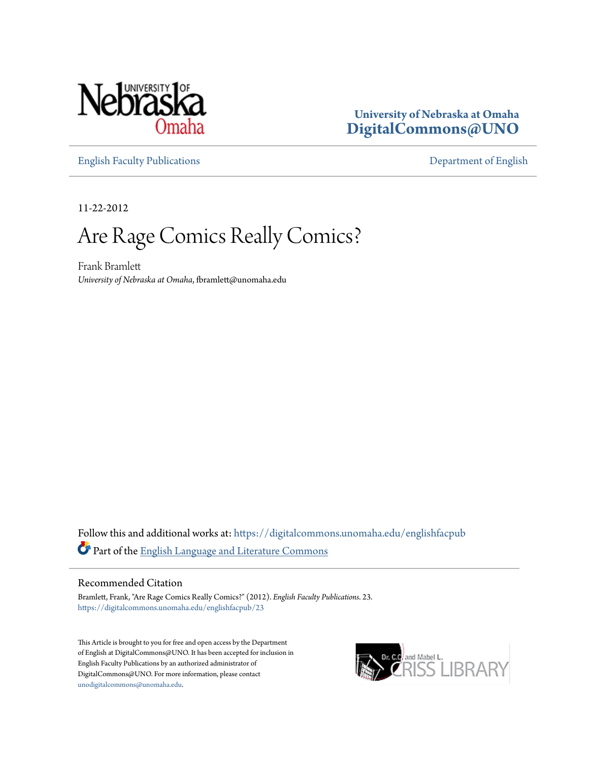

**University of Nebraska at Omaha [DigitalCommons@UNO](https://digitalcommons.unomaha.edu?utm_source=digitalcommons.unomaha.edu%2Fenglishfacpub%2F23&utm_medium=PDF&utm_campaign=PDFCoverPages)**

[English Faculty Publications](https://digitalcommons.unomaha.edu/englishfacpub?utm_source=digitalcommons.unomaha.edu%2Fenglishfacpub%2F23&utm_medium=PDF&utm_campaign=PDFCoverPages) [Department of English](https://digitalcommons.unomaha.edu/english?utm_source=digitalcommons.unomaha.edu%2Fenglishfacpub%2F23&utm_medium=PDF&utm_campaign=PDFCoverPages)

11-22-2012

## Are Rage Comics Really Comics?

Frank Bramlett *University of Nebraska at Omaha*, fbramlett@unomaha.edu

Follow this and additional works at: [https://digitalcommons.unomaha.edu/englishfacpub](https://digitalcommons.unomaha.edu/englishfacpub?utm_source=digitalcommons.unomaha.edu%2Fenglishfacpub%2F23&utm_medium=PDF&utm_campaign=PDFCoverPages) Part of the [English Language and Literature Commons](http://network.bepress.com/hgg/discipline/455?utm_source=digitalcommons.unomaha.edu%2Fenglishfacpub%2F23&utm_medium=PDF&utm_campaign=PDFCoverPages)

#### Recommended Citation

Bramlett, Frank, "Are Rage Comics Really Comics?" (2012). *English Faculty Publications*. 23. [https://digitalcommons.unomaha.edu/englishfacpub/23](https://digitalcommons.unomaha.edu/englishfacpub/23?utm_source=digitalcommons.unomaha.edu%2Fenglishfacpub%2F23&utm_medium=PDF&utm_campaign=PDFCoverPages)

This Article is brought to you for free and open access by the Department of English at DigitalCommons@UNO. It has been accepted for inclusion in English Faculty Publications by an authorized administrator of DigitalCommons@UNO. For more information, please contact [unodigitalcommons@unomaha.edu](mailto:unodigitalcommons@unomaha.edu).

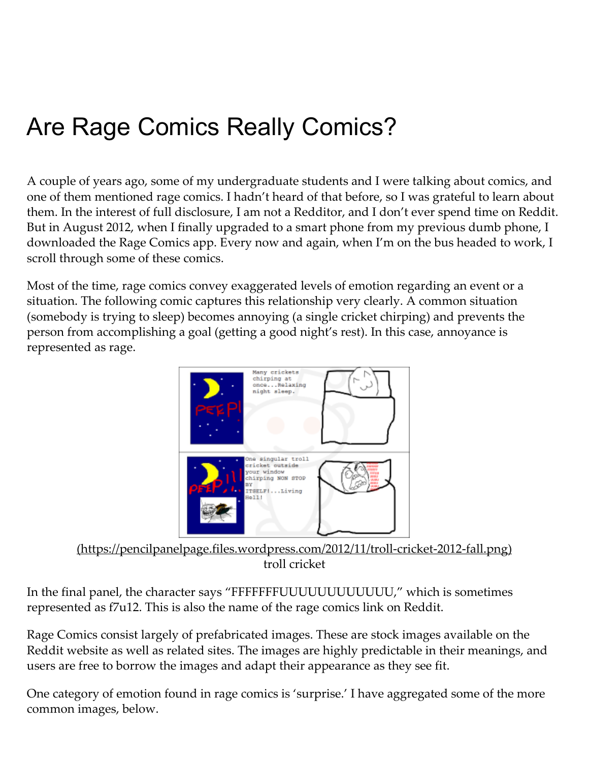# Are Rage Comics Really Comics?

A couple of years ago, some of my undergraduate students and I were talking about comics, and one of them mentioned rage comics. I hadn't heard of that before, so I was grateful to learn about them. In the interest of full disclosure, I am not a Redditor, and I don't ever spend time on Reddit. But in August 2012, when I finally upgraded to a smart phone from my previous dumb phone, I downloaded the Rage Comics app. Every now and again, when I'm on the bus headed to work, I scroll through some of these comics.

Most of the time, rage comics convey exaggerated levels of emotion regarding an event or a situation. The following comic captures this relationship very clearly. A common situation (somebody is trying to sleep) becomes annoying (a single cricket chirping) and prevents the person from accomplishing a goal (getting a good night's rest). In this case, annoyance is represented as rage.



[\(https://pencilpanelpage.files.wordpress.com/2012/11/troll‑cricket‑2012‑fall.png\)](https://pencilpanelpage.files.wordpress.com/2012/11/troll-cricket-2012-fall.png) troll cricket

In the final panel, the character says "FFFFFFFUUUUUUUUUUUU," which is sometimes represented as f7u12. This is also the name of the rage comics link on Reddit.

Rage Comics consist largely of prefabricated images. These are stock images available on the Reddit website as well as related sites. The images are highly predictable in their meanings, and users are free to borrow the images and adapt their appearance as they see fit.

One category of emotion found in rage comics is 'surprise.' I have aggregated some of the more common images, below.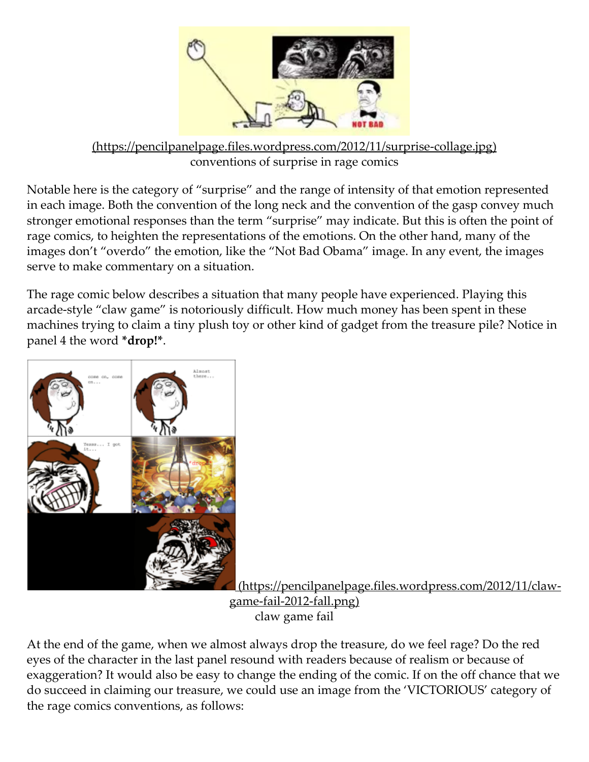

[\(https://pencilpanelpage.files.wordpress.com/2012/11/surprise‑collage.jpg\)](https://pencilpanelpage.files.wordpress.com/2012/11/surprise-collage.jpg) conventions of surprise in rage comics

Notable here is the category of "surprise" and the range of intensity of that emotion represented in each image. Both the convention of the long neck and the convention of the gasp convey much stronger emotional responses than the term "surprise" may indicate. But this is often the point of rage comics, to heighten the representations of the emotions. On the other hand, many of the images don't "overdo" the emotion, like the "Not Bad Obama" image. In any event, the images serve to make commentary on a situation.

The rage comic below describes a situation that many people have experienced. Playing this arcade‑style "claw game" is notoriously difficult. How much money has been spent in these machines trying to claim a tiny plush toy or other kind of gadget from the treasure pile? Notice in panel 4 the word \*drop!\*.



[\(https://pencilpanelpage.files.wordpress.com/2012/11/claw‑](https://pencilpanelpage.files.wordpress.com/2012/11/claw-game-fail-2012-fall.png) game-fail-2012-fall.png) claw game fail

At the end of the game, when we almost always drop the treasure, do we feel rage? Do the red eyes of the character in the last panel resound with readers because of realism or because of exaggeration? It would also be easy to change the ending of the comic. If on the off chance that we do succeed in claiming our treasure, we could use an image from the 'VICTORIOUS' category of the rage comics conventions, as follows: